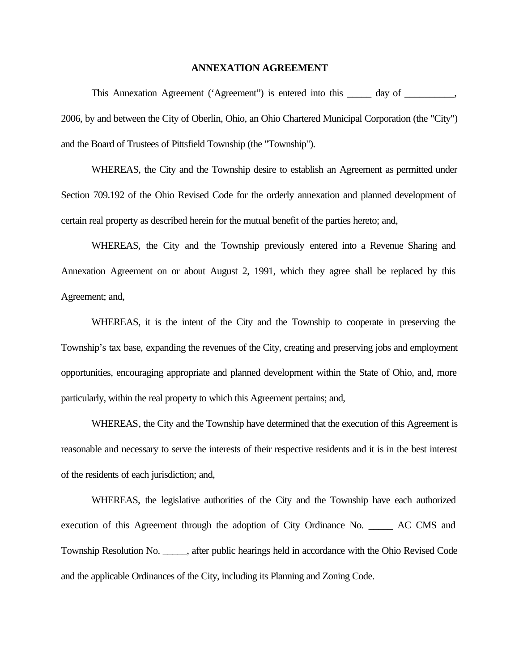#### **ANNEXATION AGREEMENT**

This Annexation Agreement ('Agreement'') is entered into this \_\_\_\_\_\_ day of \_\_\_\_\_\_\_, 2006, by and between the City of Oberlin, Ohio, an Ohio Chartered Municipal Corporation (the "City") and the Board of Trustees of Pittsfield Township (the "Township").

WHEREAS, the City and the Township desire to establish an Agreement as permitted under Section 709.192 of the Ohio Revised Code for the orderly annexation and planned development of certain real property as described herein for the mutual benefit of the parties hereto; and,

WHEREAS, the City and the Township previously entered into a Revenue Sharing and Annexation Agreement on or about August 2, 1991, which they agree shall be replaced by this Agreement; and,

WHEREAS, it is the intent of the City and the Township to cooperate in preserving the Township's tax base, expanding the revenues of the City, creating and preserving jobs and employment opportunities, encouraging appropriate and planned development within the State of Ohio, and, more particularly, within the real property to which this Agreement pertains; and,

WHEREAS, the City and the Township have determined that the execution of this Agreement is reasonable and necessary to serve the interests of their respective residents and it is in the best interest of the residents of each jurisdiction; and,

WHEREAS, the legislative authorities of the City and the Township have each authorized execution of this Agreement through the adoption of City Ordinance No. \_\_\_\_\_ AC CMS and Township Resolution No. \_\_\_\_\_, after public hearings held in accordance with the Ohio Revised Code and the applicable Ordinances of the City, including its Planning and Zoning Code.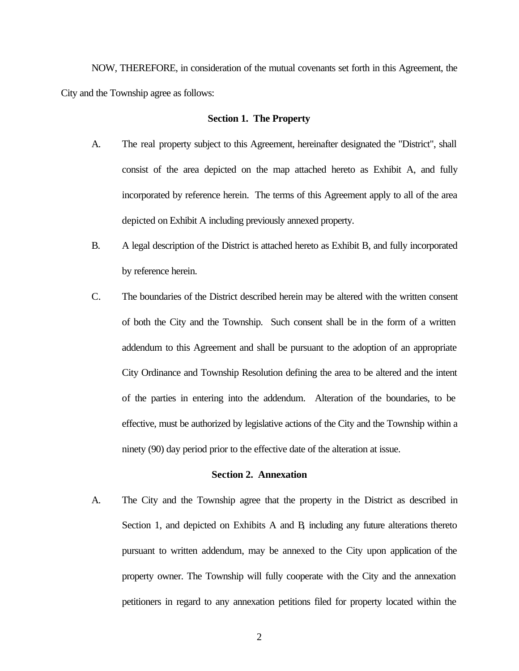NOW, THEREFORE, in consideration of the mutual covenants set forth in this Agreement, the City and the Township agree as follows:

#### **Section 1. The Property**

- A. The real property subject to this Agreement, hereinafter designated the "District", shall consist of the area depicted on the map attached hereto as Exhibit A, and fully incorporated by reference herein. The terms of this Agreement apply to all of the area depicted on Exhibit A including previously annexed property.
- B. A legal description of the District is attached hereto as Exhibit B, and fully incorporated by reference herein.
- C. The boundaries of the District described herein may be altered with the written consent of both the City and the Township. Such consent shall be in the form of a written addendum to this Agreement and shall be pursuant to the adoption of an appropriate City Ordinance and Township Resolution defining the area to be altered and the intent of the parties in entering into the addendum. Alteration of the boundaries, to be effective, must be authorized by legislative actions of the City and the Township within a ninety (90) day period prior to the effective date of the alteration at issue.

## **Section 2. Annexation**

A. The City and the Township agree that the property in the District as described in Section 1, and depicted on Exhibits A and B*,* including any future alterations thereto pursuant to written addendum, may be annexed to the City upon application of the property owner. The Township will fully cooperate with the City and the annexation petitioners in regard to any annexation petitions filed for property located within the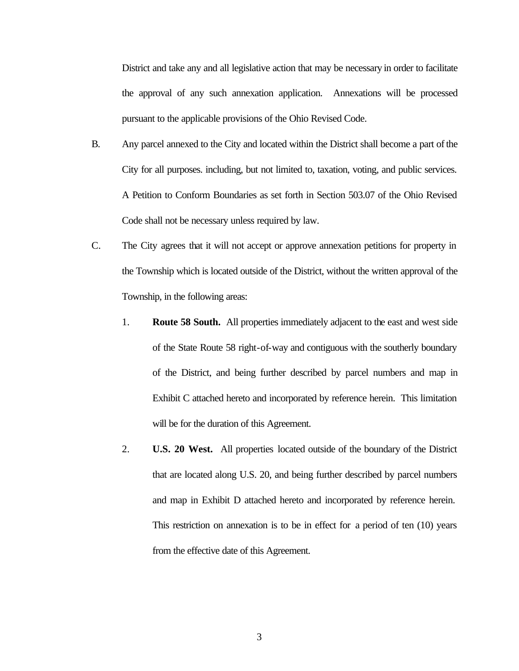District and take any and all legislative action that may be necessary in order to facilitate the approval of any such annexation application. Annexations will be processed pursuant to the applicable provisions of the Ohio Revised Code.

- B. Any parcel annexed to the City and located within the District shall become a part of the City for all purposes. including, but not limited to, taxation, voting, and public services. A Petition to Conform Boundaries as set forth in Section 503.07 of the Ohio Revised Code shall not be necessary unless required by law.
- C. The City agrees that it will not accept or approve annexation petitions for property in the Township which is located outside of the District, without the written approval of the Township, in the following areas:
	- 1. **Route 58 South.** All properties immediately adjacent to the east and west side of the State Route 58 right-of-way and contiguous with the southerly boundary of the District, and being further described by parcel numbers and map in Exhibit C attached hereto and incorporated by reference herein. This limitation will be for the duration of this Agreement.
	- 2. **U.S. 20 West.** All properties located outside of the boundary of the District that are located along U.S. 20, and being further described by parcel numbers and map in Exhibit D attached hereto and incorporated by reference herein. This restriction on annexation is to be in effect for a period of ten (10) years from the effective date of this Agreement.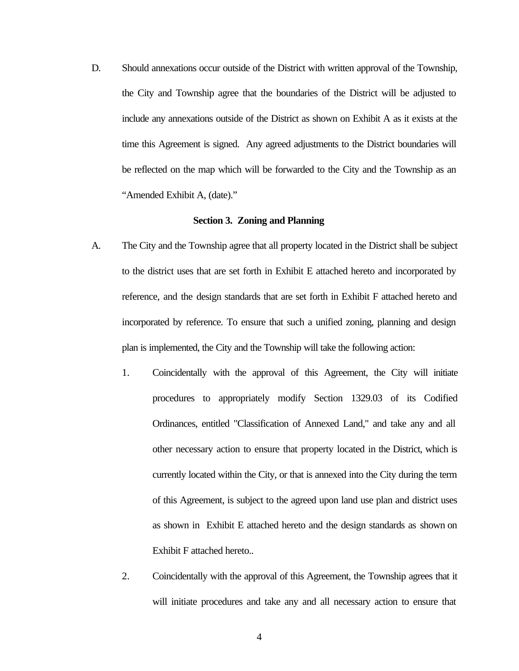D. Should annexations occur outside of the District with written approval of the Township, the City and Township agree that the boundaries of the District will be adjusted to include any annexations outside of the District as shown on Exhibit A as it exists at the time this Agreement is signed. Any agreed adjustments to the District boundaries will be reflected on the map which will be forwarded to the City and the Township as an "Amended Exhibit A, (date)."

## **Section 3. Zoning and Planning**

- A. The City and the Township agree that all property located in the District shall be subject to the district uses that are set forth in Exhibit E attached hereto and incorporated by reference, and the design standards that are set forth in Exhibit F attached hereto and incorporated by reference. To ensure that such a unified zoning, planning and design plan is implemented, the City and the Township will take the following action:
	- 1. Coincidentally with the approval of this Agreement, the City will initiate procedures to appropriately modify Section 1329.03 of its Codified Ordinances, entitled "Classification of Annexed Land," and take any and all other necessary action to ensure that property located in the District, which is currently located within the City, or that is annexed into the City during the term of this Agreement, is subject to the agreed upon land use plan and district uses as shown in Exhibit E attached hereto and the design standards as shown on Exhibit F attached hereto..
	- 2. Coincidentally with the approval of this Agreement, the Township agrees that it will initiate procedures and take any and all necessary action to ensure that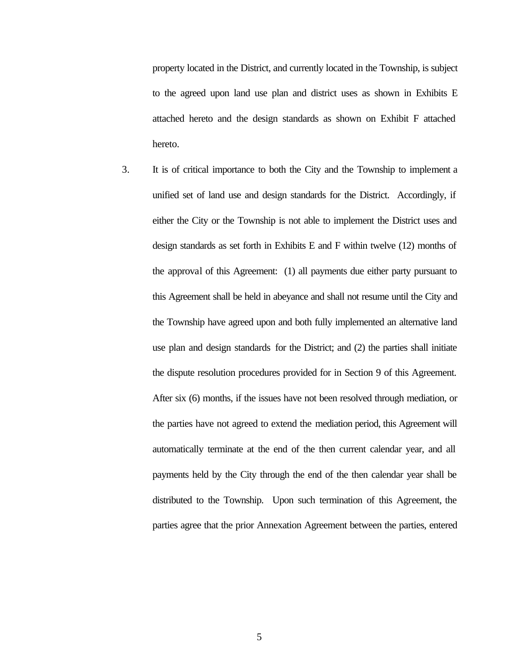property located in the District, and currently located in the Township, is subject to the agreed upon land use plan and district uses as shown in Exhibits E attached hereto and the design standards as shown on Exhibit F attached hereto.

3. It is of critical importance to both the City and the Township to implement a unified set of land use and design standards for the District. Accordingly, if either the City or the Township is not able to implement the District uses and design standards as set forth in Exhibits E and F within twelve (12) months of the approval of this Agreement: (1) all payments due either party pursuant to this Agreement shall be held in abeyance and shall not resume until the City and the Township have agreed upon and both fully implemented an alternative land use plan and design standards for the District; and (2) the parties shall initiate the dispute resolution procedures provided for in Section 9 of this Agreement. After six (6) months, if the issues have not been resolved through mediation, or the parties have not agreed to extend the mediation period, this Agreement will automatically terminate at the end of the then current calendar year, and all payments held by the City through the end of the then calendar year shall be distributed to the Township. Upon such termination of this Agreement, the parties agree that the prior Annexation Agreement between the parties, entered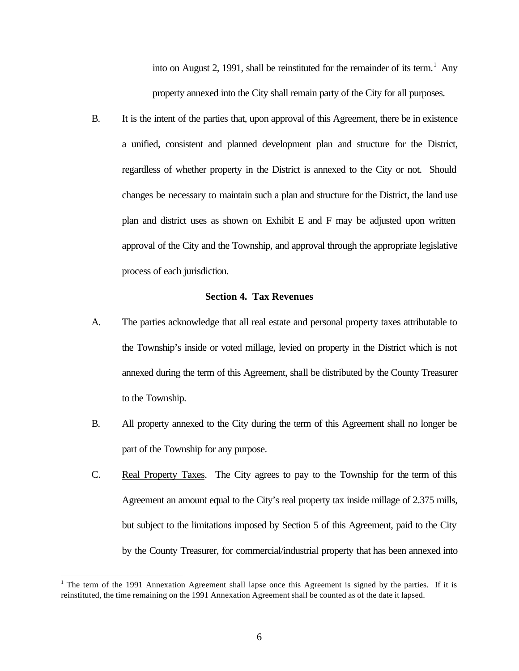into on August 2, 1991, shall be reinstituted for the remainder of its term.<sup>1</sup> Any property annexed into the City shall remain party of the City for all purposes.

B. It is the intent of the parties that, upon approval of this Agreement, there be in existence a unified, consistent and planned development plan and structure for the District, regardless of whether property in the District is annexed to the City or not. Should changes be necessary to maintain such a plan and structure for the District, the land use plan and district uses as shown on Exhibit E and F may be adjusted upon written approval of the City and the Township, and approval through the appropriate legislative process of each jurisdiction.

# **Section 4. Tax Revenues**

- A. The parties acknowledge that all real estate and personal property taxes attributable to the Township's inside or voted millage, levied on property in the District which is not annexed during the term of this Agreement, shall be distributed by the County Treasurer to the Township.
- B. All property annexed to the City during the term of this Agreement shall no longer be part of the Township for any purpose.
- C. Real Property Taxes. The City agrees to pay to the Township for the term of this Agreement an amount equal to the City's real property tax inside millage of 2.375 mills, but subject to the limitations imposed by Section 5 of this Agreement, paid to the City by the County Treasurer, for commercial/industrial property that has been annexed into

l

<sup>&</sup>lt;sup>1</sup> The term of the 1991 Annexation Agreement shall lapse once this Agreement is signed by the parties. If it is reinstituted, the time remaining on the 1991 Annexation Agreement shall be counted as of the date it lapsed.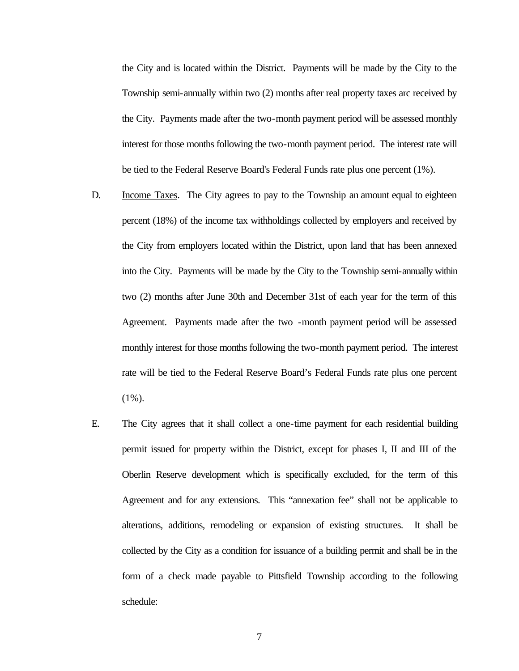the City and is located within the District. Payments will be made by the City to the Township semi-annually within two (2) months after real property taxes arc received by the City. Payments made after the two-month payment period will be assessed monthly interest for those months following the two-month payment period. The interest rate will be tied to the Federal Reserve Board's Federal Funds rate plus one percent (1%).

- D. Income Taxes. The City agrees to pay to the Township an amount equal to eighteen percent (18%) of the income tax withholdings collected by employers and received by the City from employers located within the District, upon land that has been annexed into the City. Payments will be made by the City to the Township semi-annually within two (2) months after June 30th and December 31st of each year for the term of this Agreement. Payments made after the two -month payment period will be assessed monthly interest for those months following the two-month payment period. The interest rate will be tied to the Federal Reserve Board's Federal Funds rate plus one percent  $(1\%)$ .
- E. The City agrees that it shall collect a one-time payment for each residential building permit issued for property within the District, except for phases I, II and III of the Oberlin Reserve development which is specifically excluded, for the term of this Agreement and for any extensions. This "annexation fee" shall not be applicable to alterations, additions, remodeling or expansion of existing structures. It shall be collected by the City as a condition for issuance of a building permit and shall be in the form of a check made payable to Pittsfield Township according to the following schedule:

7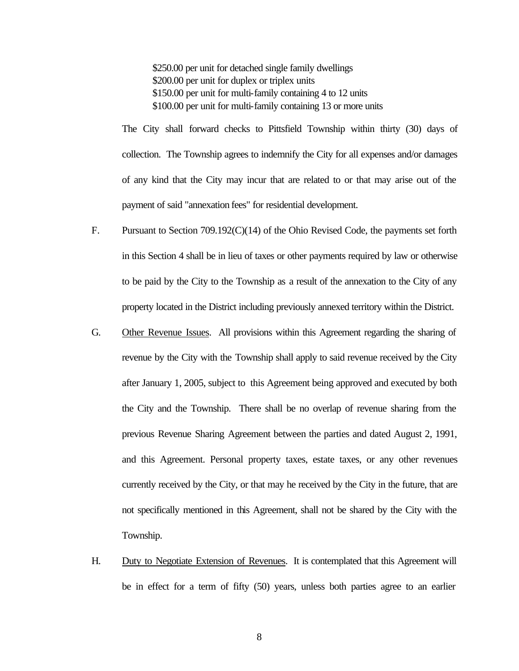\$250.00 per unit for detached single family dwellings \$200.00 per unit for duplex or triplex units \$150.00 per unit for multi-family containing 4 to 12 units \$100.00 per unit for multi-family containing 13 or more units

The City shall forward checks to Pittsfield Township within thirty (30) days of collection. The Township agrees to indemnify the City for all expenses and/or damages of any kind that the City may incur that are related to or that may arise out of the payment of said "annexation fees" for residential development.

- F. Pursuant to Section 709.192(C)(14) of the Ohio Revised Code, the payments set forth in this Section 4 shall be in lieu of taxes or other payments required by law or otherwise to be paid by the City to the Township as a result of the annexation to the City of any property located in the District including previously annexed territory within the District.
- G. Other Revenue Issues. All provisions within this Agreement regarding the sharing of revenue by the City with the Township shall apply to said revenue received by the City after January 1, 2005, subject to this Agreement being approved and executed by both the City and the Township. There shall be no overlap of revenue sharing from the previous Revenue Sharing Agreement between the parties and dated August 2, 1991, and this Agreement. Personal property taxes, estate taxes, or any other revenues currently received by the City, or that may he received by the City in the future, that are not specifically mentioned in this Agreement, shall not be shared by the City with the Township.
- H. Duty to Negotiate Extension of Revenues. It is contemplated that this Agreement will be in effect for a term of fifty (50) years, unless both parties agree to an earlier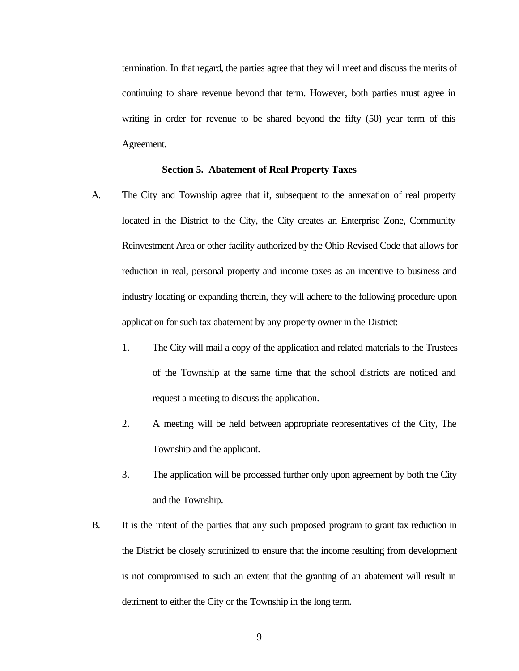termination. In that regard, the parties agree that they will meet and discuss the merits of continuing to share revenue beyond that term. However, both parties must agree in writing in order for revenue to be shared beyond the fifty (50) year term of this Agreement.

# **Section 5. Abatement of Real Property Taxes**

- A. The City and Township agree that if, subsequent to the annexation of real property located in the District to the City, the City creates an Enterprise Zone, Community Reinvestment Area or other facility authorized by the Ohio Revised Code that allows for reduction in real, personal property and income taxes as an incentive to business and industry locating or expanding therein, they will adhere to the following procedure upon application for such tax abatement by any property owner in the District:
	- 1. The City will mail a copy of the application and related materials to the Trustees of the Township at the same time that the school districts are noticed and request a meeting to discuss the application.
	- 2. A meeting will be held between appropriate representatives of the City, The Township and the applicant.
	- 3. The application will be processed further only upon agreement by both the City and the Township.
- B. It is the intent of the parties that any such proposed program to grant tax reduction in the District be closely scrutinized to ensure that the income resulting from development is not compromised to such an extent that the granting of an abatement will result in detriment to either the City or the Township in the long term.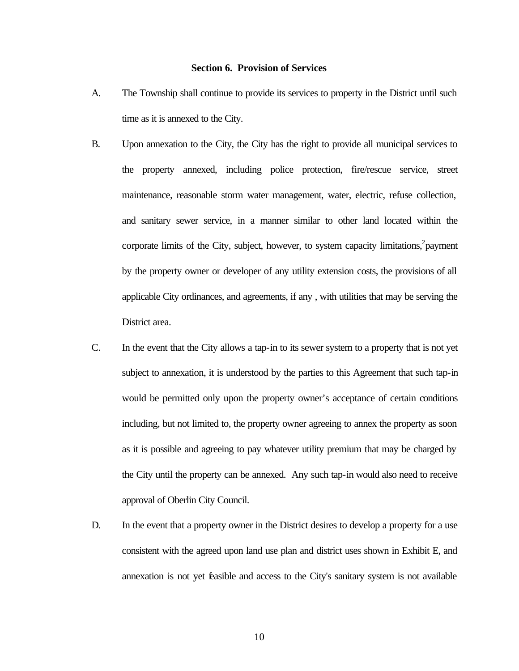#### **Section 6. Provision of Services**

- A. The Township shall continue to provide its services to property in the District until such time as it is annexed to the City.
- B. Upon annexation to the City, the City has the right to provide all municipal services to the property annexed, including police protection, fire/rescue service, street maintenance, reasonable storm water management, water, electric, refuse collection, and sanitary sewer service, in a manner similar to other land located within the corporate limits of the City, subject, however, to system capacity limitations, $^2$ payment by the property owner or developer of any utility extension costs, the provisions of all applicable City ordinances, and agreements, if any , with utilities that may be serving the District area.
- C. In the event that the City allows a tap-in to its sewer system to a property that is not yet subject to annexation, it is understood by the parties to this Agreement that such tap-in would be permitted only upon the property owner's acceptance of certain conditions including, but not limited to, the property owner agreeing to annex the property as soon as it is possible and agreeing to pay whatever utility premium that may be charged by the City until the property can be annexed. Any such tap-in would also need to receive approval of Oberlin City Council.
- D. In the event that a property owner in the District desires to develop a property for a use consistent with the agreed upon land use plan and district uses shown in Exhibit E, and annexation is not yet feasible and access to the City's sanitary system is not available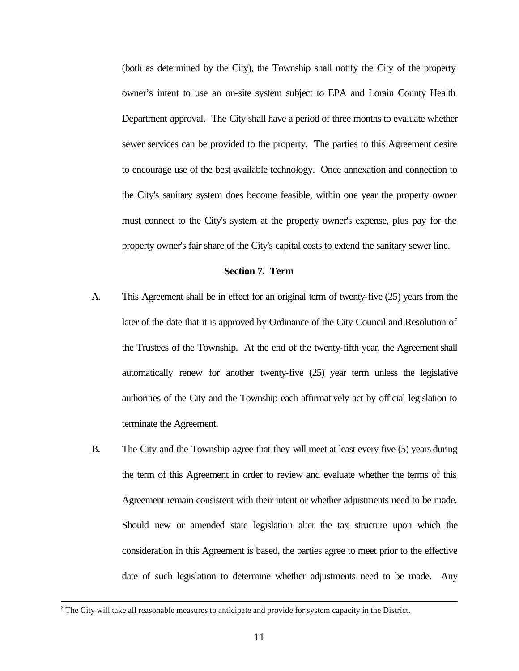(both as determined by the City), the Township shall notify the City of the property owner's intent to use an on-site system subject to EPA and Lorain County Health Department approval. The City shall have a period of three months to evaluate whether sewer services can be provided to the property. The parties to this Agreement desire to encourage use of the best available technology. Once annexation and connection to the City's sanitary system does become feasible, within one year the property owner must connect to the City's system at the property owner's expense, plus pay for the property owner's fair share of the City's capital costs to extend the sanitary sewer line.

## **Section 7. Term**

- A. This Agreement shall be in effect for an original term of twenty-five (25) years from the later of the date that it is approved by Ordinance of the City Council and Resolution of the Trustees of the Township. At the end of the twenty-fifth year, the Agreement shall automatically renew for another twenty-five (25) year term unless the legislative authorities of the City and the Township each affirmatively act by official legislation to terminate the Agreement.
- B. The City and the Township agree that they will meet at least every five (5) years during the term of this Agreement in order to review and evaluate whether the terms of this Agreement remain consistent with their intent or whether adjustments need to be made. Should new or amended state legislation alter the tax structure upon which the consideration in this Agreement is based, the parties agree to meet prior to the effective date of such legislation to determine whether adjustments need to be made. Any

l

 $2^2$  The City will take all reasonable measures to anticipate and provide for system capacity in the District.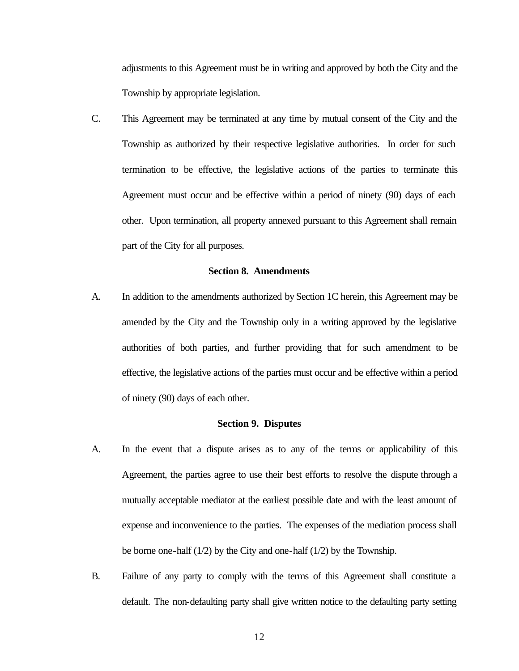adjustments to this Agreement must be in writing and approved by both the City and the Township by appropriate legislation.

C. This Agreement may be terminated at any time by mutual consent of the City and the Township as authorized by their respective legislative authorities. In order for such termination to be effective, the legislative actions of the parties to terminate this Agreement must occur and be effective within a period of ninety (90) days of each other. Upon termination, all property annexed pursuant to this Agreement shall remain part of the City for all purposes.

#### **Section 8. Amendments**

A. In addition to the amendments authorized by Section 1C herein, this Agreement may be amended by the City and the Township only in a writing approved by the legislative authorities of both parties, and further providing that for such amendment to be effective, the legislative actions of the parties must occur and be effective within a period of ninety (90) days of each other.

## **Section 9. Disputes**

- A. In the event that a dispute arises as to any of the terms or applicability of this Agreement, the parties agree to use their best efforts to resolve the dispute through a mutually acceptable mediator at the earliest possible date and with the least amount of expense and inconvenience to the parties. The expenses of the mediation process shall be borne one-half (1/2) by the City and one-half (1/2) by the Township.
- B. Failure of any party to comply with the terms of this Agreement shall constitute a default. The non-defaulting party shall give written notice to the defaulting party setting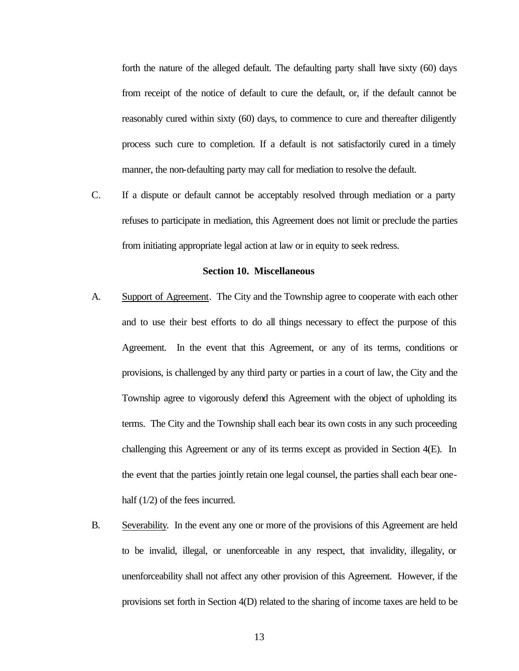forth the nature of the alleged default. The defaulting party shall have sixty (60) days from receipt of the notice of default to cure the default, or, if the default cannot be reasonably cured within sixty (60) days, to commence to cure and thereafter diligently process such cure to completion. If a default is not satisfactorily cured in a timely manner, the non-defaulting party may call for mediation to resolve the default.

C. If a dispute or default cannot be acceptably resolved through mediation or a party refuses to participate in mediation, this Agreement does not limit or preclude the parties from initiating appropriate legal action at law or in equity to seek redress.

## **Section 10. Miscellaneous**

- A. Support of Agreement. The City and the Township agree to cooperate with each other and to use their best efforts to do all things necessary to effect the purpose of this Agreement. In the event that this Agreement, or any of its terms, conditions or provisions, is challenged by any third party or parties in a court of law, the City and the Township agree to vigorously defend this Agreement with the object of upholding its terms. The City and the Township shall each bear its own costs in any such proceeding challenging this Agreement or any of its terms except as provided in Section 4(E). In the event that the parties jointly retain one legal counsel, the parties shall each bear onehalf  $(1/2)$  of the fees incurred.
- B. Severability. In the event any one or more of the provisions of this Agreement are held to be invalid, illegal, or unenforceable in any respect, that invalidity, illegality, or unenforceability shall not affect any other provision of this Agreement. However, if the provisions set forth in Section 4(D) related to the sharing of income taxes are held to be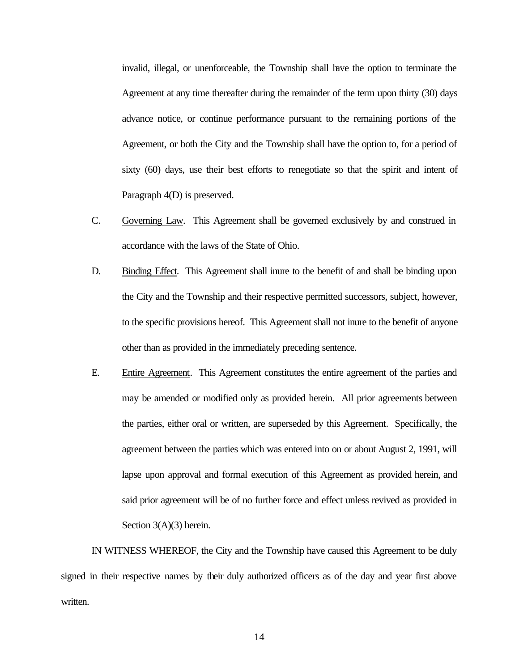invalid, illegal, or unenforceable, the Township shall have the option to terminate the Agreement at any time thereafter during the remainder of the term upon thirty (30) days advance notice, or continue performance pursuant to the remaining portions of the Agreement, or both the City and the Township shall have the option to, for a period of sixty (60) days, use their best efforts to renegotiate so that the spirit and intent of Paragraph 4(D) is preserved.

- C. Governing Law. This Agreement shall be governed exclusively by and construed in accordance with the laws of the State of Ohio.
- D. Binding Effect. This Agreement shall inure to the benefit of and shall be binding upon the City and the Township and their respective permitted successors, subject, however, to the specific provisions hereof. This Agreement shall not inure to the benefit of anyone other than as provided in the immediately preceding sentence.
- E. Entire Agreement. This Agreement constitutes the entire agreement of the parties and may be amended or modified only as provided herein. All prior agreements between the parties, either oral or written, are superseded by this Agreement. Specifically, the agreement between the parties which was entered into on or about August 2, 1991, will lapse upon approval and formal execution of this Agreement as provided herein, and said prior agreement will be of no further force and effect unless revived as provided in Section 3(A)(3) herein.

IN WITNESS WHEREOF, the City and the Township have caused this Agreement to be duly signed in their respective names by their duly authorized officers as of the day and year first above written.